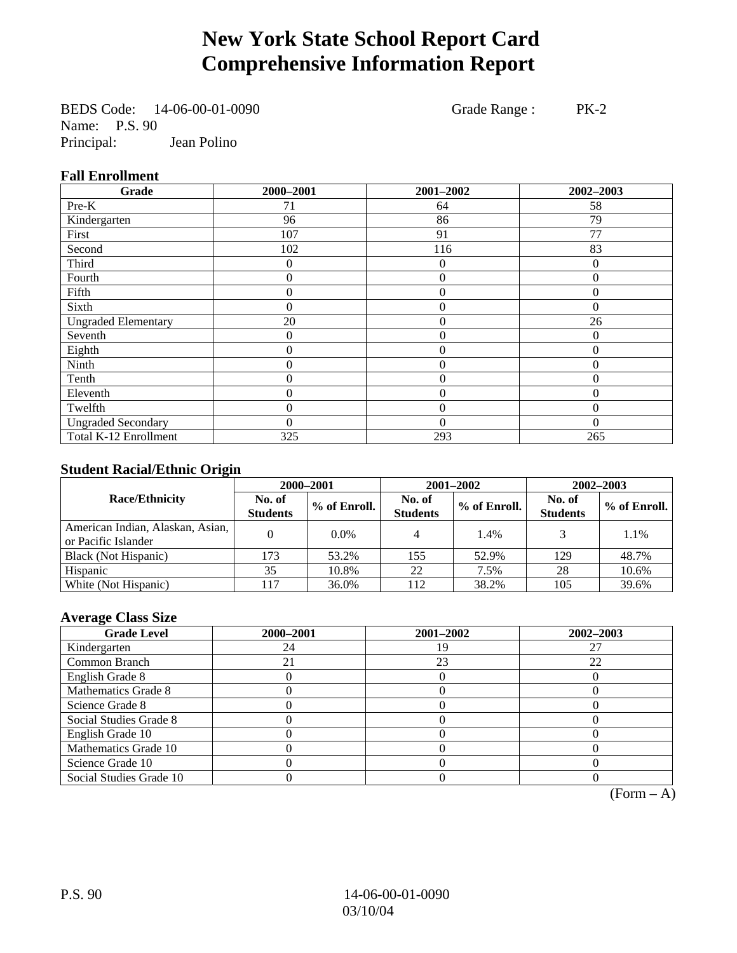# **New York State School Report Card Comprehensive Information Report**

BEDS Code: 14-06-00-01-0090 Grade Range : PK-2 Name: P.S. 90<br>Principal: Jean Polino

# **Fall Enrollment**

| Grade                      | 2000-2001        | 2001-2002        | 2002-2003 |
|----------------------------|------------------|------------------|-----------|
| Pre-K                      | 71               | 64               | 58        |
| Kindergarten               | 96               | 86               | 79        |
| First                      | 107              | 91               | 77        |
| Second                     | 102              | 116              | 83        |
| Third                      | 0                | 0                | 0         |
| Fourth                     | 0                | $\overline{0}$   | $\Omega$  |
| Fifth                      | 0                | $\theta$         | $\Omega$  |
| Sixth                      | 0                | $\overline{0}$   | $\Omega$  |
| <b>Ungraded Elementary</b> | 20               | $\overline{0}$   | 26        |
| Seventh                    | $\theta$         | $\mathbf{0}$     | $\theta$  |
| Eighth                     | $\boldsymbol{0}$ | $\overline{0}$   | $\Omega$  |
| Ninth                      | 0                | $\overline{0}$   | $\Omega$  |
| Tenth                      | 0                | $\boldsymbol{0}$ | $\theta$  |
| Eleventh                   | 0                | $\overline{0}$   | $\theta$  |
| Twelfth                    | 0                | $\overline{0}$   | $\theta$  |
| <b>Ungraded Secondary</b>  | 0                | $\theta$         | $\theta$  |
| Total K-12 Enrollment      | 325              | 293              | 265       |

## **Student Racial/Ethnic Origin**

|                                                         | 2000-2001                 |              | 2001-2002                 |              | $2002 - 2003$             |                |
|---------------------------------------------------------|---------------------------|--------------|---------------------------|--------------|---------------------------|----------------|
| <b>Race/Ethnicity</b>                                   | No. of<br><b>Students</b> | % of Enroll. | No. of<br><b>Students</b> | % of Enroll. | No. of<br><b>Students</b> | $%$ of Enroll. |
| American Indian, Alaskan, Asian,<br>or Pacific Islander |                           | $0.0\%$      | 4                         | 1.4%         |                           | 1.1%           |
| Black (Not Hispanic)                                    | 173                       | 53.2%        | 155                       | 52.9%        | 129                       | 48.7%          |
| Hispanic                                                | 35                        | 10.8%        | 22                        | 7.5%         | 28                        | 10.6%          |
| White (Not Hispanic)                                    | 117                       | 36.0%        | 112                       | 38.2%        | 105                       | 39.6%          |

#### **Average Class Size**

| <b>Grade Level</b>      | 2000-2001 | 2001-2002 | 2002-2003 |
|-------------------------|-----------|-----------|-----------|
| Kindergarten            | 24        |           |           |
| Common Branch           |           | 23        | 22        |
| English Grade 8         |           |           |           |
| Mathematics Grade 8     |           |           |           |
| Science Grade 8         |           |           |           |
| Social Studies Grade 8  |           |           |           |
| English Grade 10        |           |           |           |
| Mathematics Grade 10    |           |           |           |
| Science Grade 10        |           |           |           |
| Social Studies Grade 10 |           |           |           |

 $(Form – A)$